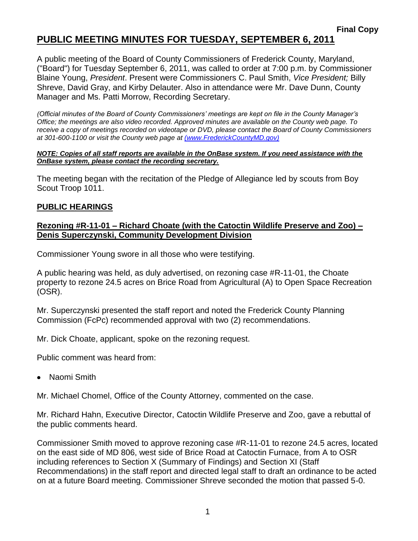A public meeting of the Board of County Commissioners of Frederick County, Maryland, ("Board") for Tuesday September 6, 2011, was called to order at 7:00 p.m. by Commissioner Blaine Young, *President*. Present were Commissioners C. Paul Smith, *Vice President;* Billy Shreve, David Gray, and Kirby Delauter. Also in attendance were Mr. Dave Dunn, County Manager and Ms. Patti Morrow, Recording Secretary.

*(Official minutes of the Board of County Commissioners' meetings are kept on file in the County Manager's Office; the meetings are also video recorded. Approved minutes are available on the County web page. To receive a copy of meetings recorded on videotape or DVD, please contact the Board of County Commissioners at 301-600-1100 or visit the County web page at [\(www.FrederickCountyMD.gov\)](file://NT1S5/BOCC/BOCC/BOCC%20Minutes/Patti)*

#### *NOTE: Copies of all staff reports are available in the OnBase system. If you need assistance with the OnBase system, please contact the recording secretary.*

The meeting began with the recitation of the Pledge of Allegiance led by scouts from Boy Scout Troop 1011.

### **PUBLIC HEARINGS**

#### **Rezoning #R-11-01 – Richard Choate (with the Catoctin Wildlife Preserve and Zoo) – Denis Superczynski, Community Development Division**

Commissioner Young swore in all those who were testifying.

A public hearing was held, as duly advertised, on rezoning case #R-11-01, the Choate property to rezone 24.5 acres on Brice Road from Agricultural (A) to Open Space Recreation (OSR).

Mr. Superczynski presented the staff report and noted the Frederick County Planning Commission (FcPc) recommended approval with two (2) recommendations.

Mr. Dick Choate, applicant, spoke on the rezoning request.

Public comment was heard from:

Naomi Smith

Mr. Michael Chomel, Office of the County Attorney, commented on the case.

Mr. Richard Hahn, Executive Director, Catoctin Wildlife Preserve and Zoo, gave a rebuttal of the public comments heard.

Commissioner Smith moved to approve rezoning case #R-11-01 to rezone 24.5 acres, located on the east side of MD 806, west side of Brice Road at Catoctin Furnace, from A to OSR including references to Section X (Summary of Findings) and Section XI (Staff Recommendations) in the staff report and directed legal staff to draft an ordinance to be acted on at a future Board meeting. Commissioner Shreve seconded the motion that passed 5-0.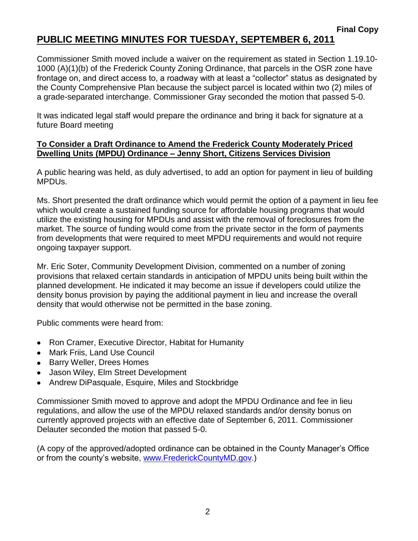Commissioner Smith moved include a waiver on the requirement as stated in Section 1.19.10- 1000 (A)(1)(b) of the Frederick County Zoning Ordinance, that parcels in the OSR zone have frontage on, and direct access to, a roadway with at least a "collector" status as designated by the County Comprehensive Plan because the subject parcel is located within two (2) miles of a grade-separated interchange. Commissioner Gray seconded the motion that passed 5-0.

It was indicated legal staff would prepare the ordinance and bring it back for signature at a future Board meeting

#### **To Consider a Draft Ordinance to Amend the Frederick County Moderately Priced Dwelling Units (MPDU) Ordinance – Jenny Short, Citizens Services Division**

A public hearing was held, as duly advertised, to add an option for payment in lieu of building MPDUs.

Ms. Short presented the draft ordinance which would permit the option of a payment in lieu fee which would create a sustained funding source for affordable housing programs that would utilize the existing housing for MPDUs and assist with the removal of foreclosures from the market. The source of funding would come from the private sector in the form of payments from developments that were required to meet MPDU requirements and would not require ongoing taxpayer support.

Mr. Eric Soter, Community Development Division, commented on a number of zoning provisions that relaxed certain standards in anticipation of MPDU units being built within the planned development. He indicated it may become an issue if developers could utilize the density bonus provision by paying the additional payment in lieu and increase the overall density that would otherwise not be permitted in the base zoning.

Public comments were heard from:

- Ron Cramer, Executive Director, Habitat for Humanity
- Mark Friis, Land Use Council
- **Barry Weller, Drees Homes**
- Jason Wiley, Elm Street Development
- Andrew DiPasquale, Esquire, Miles and Stockbridge

Commissioner Smith moved to approve and adopt the MPDU Ordinance and fee in lieu regulations, and allow the use of the MPDU relaxed standards and/or density bonus on currently approved projects with an effective date of September 6, 2011. Commissioner Delauter seconded the motion that passed 5-0.

(A copy of the approved/adopted ordinance can be obtained in the County Manager's Office or from the county's website, [www.FrederickCountyMD.gov.](http://www.frederickcountymd.gov/))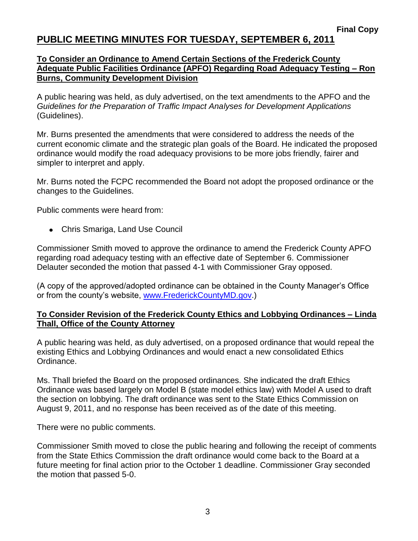### **To Consider an Ordinance to Amend Certain Sections of the Frederick County Adequate Public Facilities Ordinance (APFO) Regarding Road Adequacy Testing – Ron Burns, Community Development Division**

A public hearing was held, as duly advertised, on the text amendments to the APFO and the *Guidelines for the Preparation of Traffic Impact Analyses for Development Applications* (Guidelines).

Mr. Burns presented the amendments that were considered to address the needs of the current economic climate and the strategic plan goals of the Board. He indicated the proposed ordinance would modify the road adequacy provisions to be more jobs friendly, fairer and simpler to interpret and apply.

Mr. Burns noted the FCPC recommended the Board not adopt the proposed ordinance or the changes to the Guidelines.

Public comments were heard from:

Chris Smariga, Land Use Council

Commissioner Smith moved to approve the ordinance to amend the Frederick County APFO regarding road adequacy testing with an effective date of September 6. Commissioner Delauter seconded the motion that passed 4-1 with Commissioner Gray opposed.

(A copy of the approved/adopted ordinance can be obtained in the County Manager's Office or from the county's website, [www.FrederickCountyMD.gov.](http://www.frederickcountymd.gov/))

#### **To Consider Revision of the Frederick County Ethics and Lobbying Ordinances – Linda Thall, Office of the County Attorney**

A public hearing was held, as duly advertised, on a proposed ordinance that would repeal the existing Ethics and Lobbying Ordinances and would enact a new consolidated Ethics Ordinance.

Ms. Thall briefed the Board on the proposed ordinances. She indicated the draft Ethics Ordinance was based largely on Model B (state model ethics law) with Model A used to draft the section on lobbying. The draft ordinance was sent to the State Ethics Commission on August 9, 2011, and no response has been received as of the date of this meeting.

There were no public comments.

Commissioner Smith moved to close the public hearing and following the receipt of comments from the State Ethics Commission the draft ordinance would come back to the Board at a future meeting for final action prior to the October 1 deadline. Commissioner Gray seconded the motion that passed 5-0.